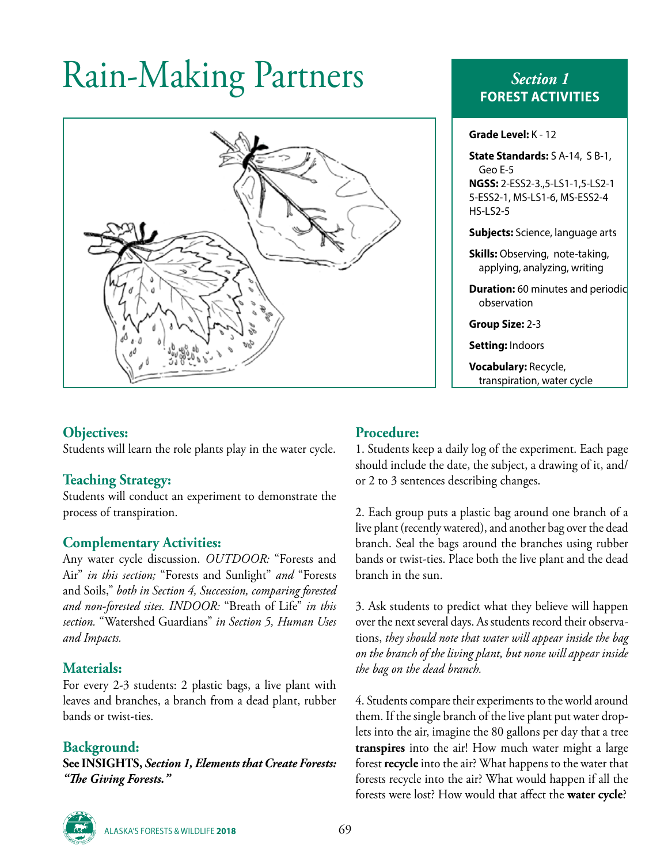# Rain-Making Partners *Section 1*



# **FOREST ACTIVITIES**

**Grade Level:** K - 12

**State Standards:** S A-14, S B-1, Geo E-5 **NGSS:** 2-ESS2-3.,5-LS1-1,5-LS2-1 5-ESS2-1, MS-LS1-6, MS-ESS2-4 HS-LS2-5

**Subjects:** Science, language arts

**Skills:** Observing, note-taking, applying, analyzing, writing

**Duration:** 60 minutes and periodic observation

**Group Size:** 2-3

**Setting:** Indoors

**Vocabulary:** Recycle, transpiration, water cycle

#### **Objectives:**

Students will learn the role plants play in the water cycle.

# **Teaching Strategy:**

Students will conduct an experiment to demonstrate the process of transpiration.

#### **Complementary Activities:**

Any water cycle discussion. *OUTDOOR:* "Forests and Air" *in this section;* "Forests and Sunlight" *and* "Forests and Soils," *both in Section 4, Succession, comparing forested and non-forested sites. INDOOR:* "Breath of Life" *in this section.* "Watershed Guardians" *in Section 5, Human Uses and Impacts.*

#### **Materials:**

For every 2-3 students: 2 plastic bags, a live plant with leaves and branches, a branch from a dead plant, rubber bands or twist-ties.

# **Background:**

**See INSIGHTS,** *Section 1, Elements that Create Forests: "The Giving Forests."*

#### **Procedure:**

1. Students keep a daily log of the experiment. Each page should include the date, the subject, a drawing of it, and/ or 2 to 3 sentences describing changes.

2. Each group puts a plastic bag around one branch of a live plant (recently watered), and another bag over the dead branch. Seal the bags around the branches using rubber bands or twist-ties. Place both the live plant and the dead branch in the sun.

3. Ask students to predict what they believe will happen over the next several days. As students record their observations, *they should note that water will appear inside the bag on the branch of the living plant, but none will appear inside the bag on the dead branch.*

4. Students compare their experiments to the world around them. If the single branch of the live plant put water droplets into the air, imagine the 80 gallons per day that a tree **transpires** into the air! How much water might a large forest **recycle** into the air? What happens to the water that forests recycle into the air? What would happen if all the forests were lost? How would that affect the **water cycle**?



ALASKA'S FORESTS & WILDLIFE **2018** 69